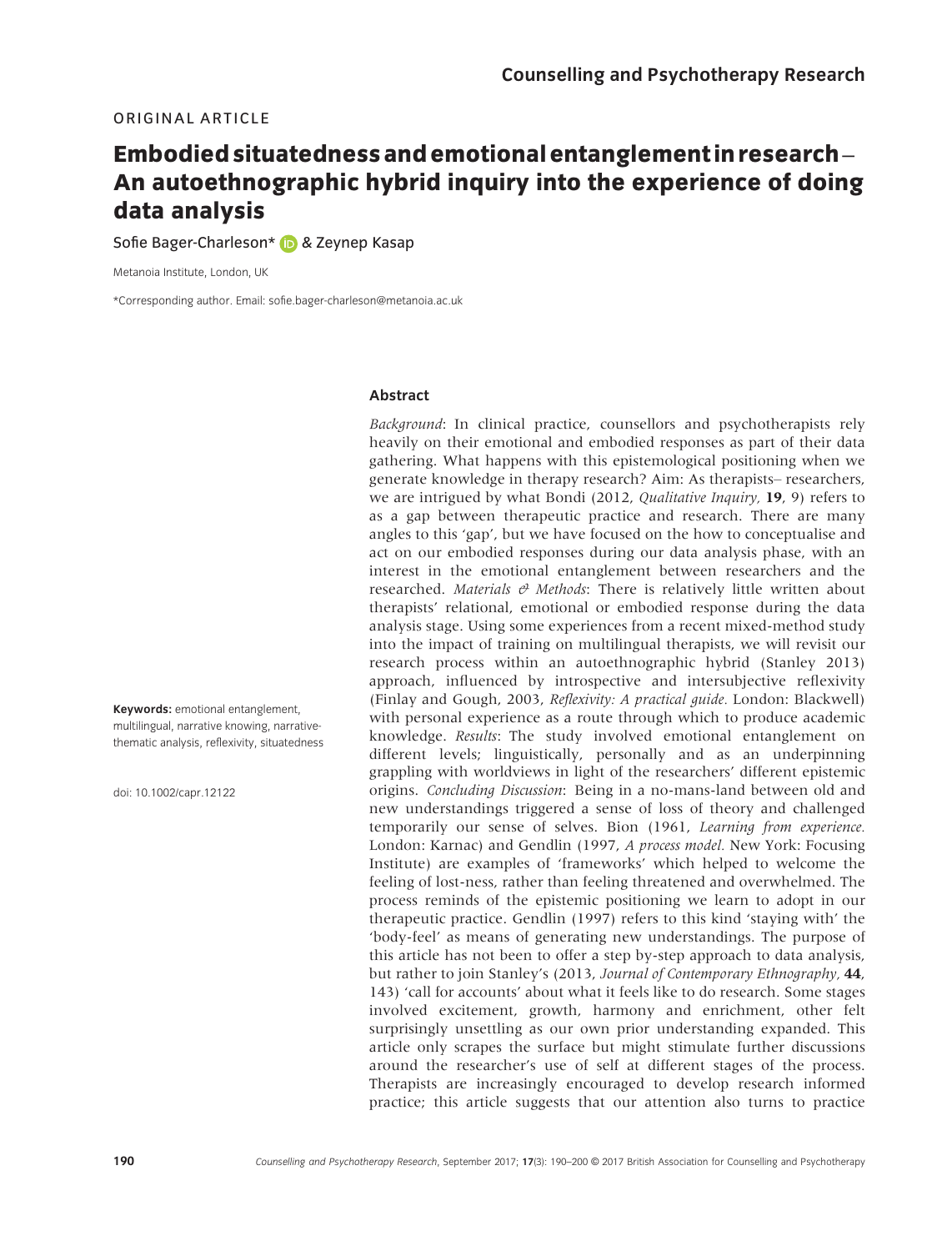## ORIGINAL ARTICLE

# Embodied situatedness and emotional entanglementin research– An autoethnographic hybrid inquiry into the experience of doing data analysis

Sofie Bager-Charleson[\\*](http://orcid.org/0000-0002-3018-2867) & Zeynep Kasap

Metanoia Institute, London, UK

\*Corresponding author. Email: sofie.bager-charleson@metanoia.ac.uk

## Abstract

Keywords: emotional entanglement, multilingual, narrative knowing, narrativethematic analysis, reflexivity, situatedness

doi: 10.1002/capr.12122

Background: In clinical practice, counsellors and psychotherapists rely heavily on their emotional and embodied responses as part of their data gathering. What happens with this epistemological positioning when we generate knowledge in therapy research? Aim: As therapists– researchers, we are intrigued by what Bondi (2012, Qualitative Inquiry, 19, 9) refers to as a gap between therapeutic practice and research. There are many angles to this 'gap', but we have focused on the how to conceptualise and act on our embodied responses during our data analysis phase, with an interest in the emotional entanglement between researchers and the researched. Materials  $\theta$  Methods: There is relatively little written about therapists' relational, emotional or embodied response during the data analysis stage. Using some experiences from a recent mixed-method study into the impact of training on multilingual therapists, we will revisit our research process within an autoethnographic hybrid (Stanley 2013) approach, influenced by introspective and intersubjective reflexivity (Finlay and Gough, 2003, Reflexivity: A practical guide. London: Blackwell) with personal experience as a route through which to produce academic knowledge. Results: The study involved emotional entanglement on different levels; linguistically, personally and as an underpinning grappling with worldviews in light of the researchers' different epistemic origins. Concluding Discussion: Being in a no-mans-land between old and new understandings triggered a sense of loss of theory and challenged temporarily our sense of selves. Bion (1961, Learning from experience. London: Karnac) and Gendlin (1997, A process model. New York: Focusing Institute) are examples of 'frameworks' which helped to welcome the feeling of lost-ness, rather than feeling threatened and overwhelmed. The process reminds of the epistemic positioning we learn to adopt in our therapeutic practice. Gendlin (1997) refers to this kind 'staying with' the 'body-feel' as means of generating new understandings. The purpose of this article has not been to offer a step by-step approach to data analysis, but rather to join Stanley's (2013, Journal of Contemporary Ethnography, 44, 143) 'call for accounts' about what it feels like to do research. Some stages involved excitement, growth, harmony and enrichment, other felt surprisingly unsettling as our own prior understanding expanded. This article only scrapes the surface but might stimulate further discussions around the researcher's use of self at different stages of the process. Therapists are increasingly encouraged to develop research informed practice; this article suggests that our attention also turns to practice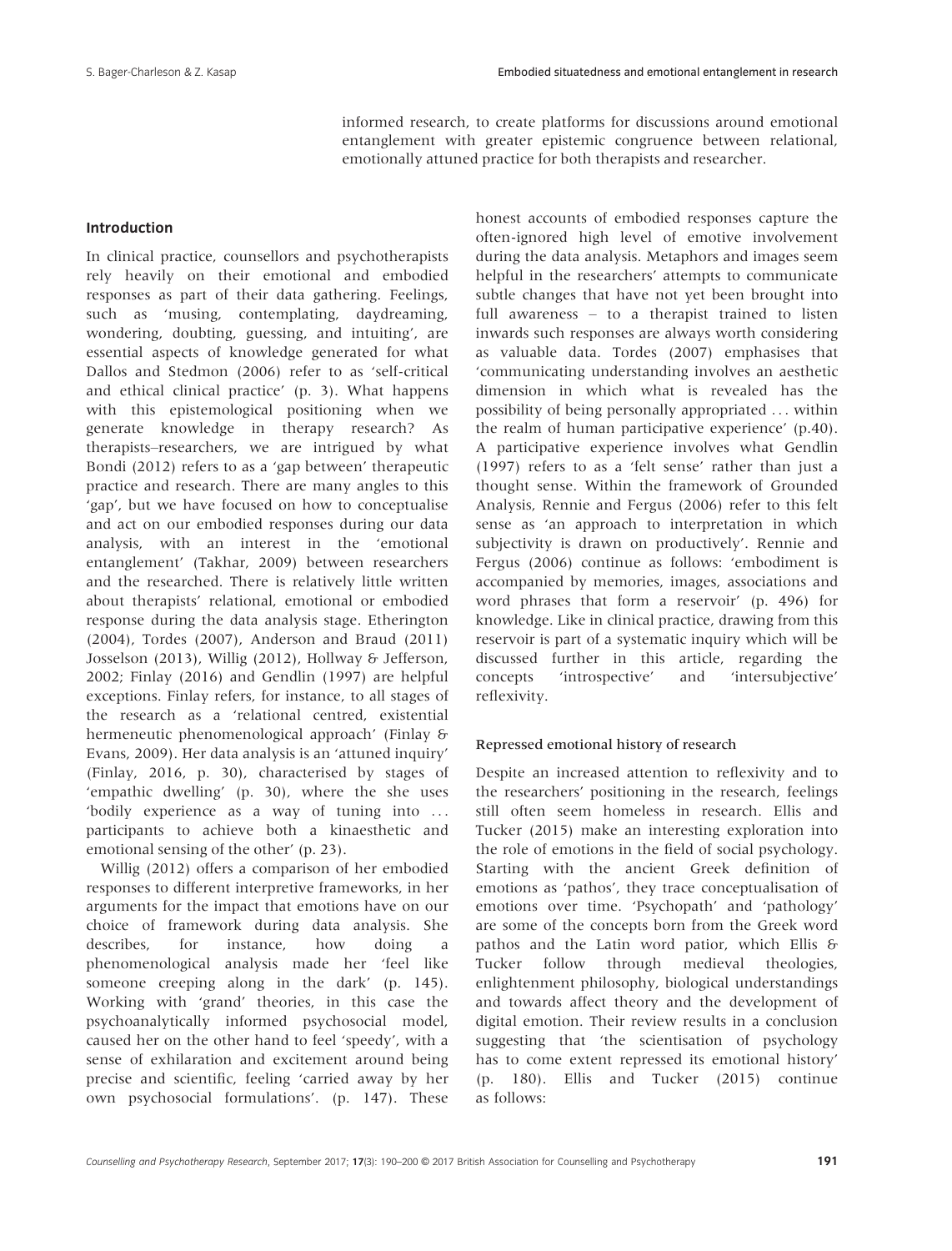informed research, to create platforms for discussions around emotional entanglement with greater epistemic congruence between relational, emotionally attuned practice for both therapists and researcher.

## Introduction

In clinical practice, counsellors and psychotherapists rely heavily on their emotional and embodied responses as part of their data gathering. Feelings, such as 'musing, contemplating, daydreaming, wondering, doubting, guessing, and intuiting', are essential aspects of knowledge generated for what Dallos and Stedmon (2006) refer to as 'self-critical and ethical clinical practice' (p. 3). What happens with this epistemological positioning when we generate knowledge in therapy research? As therapists–researchers, we are intrigued by what Bondi (2012) refers to as a 'gap between' therapeutic practice and research. There are many angles to this 'gap', but we have focused on how to conceptualise and act on our embodied responses during our data analysis, with an interest in the 'emotional entanglement' (Takhar, 2009) between researchers and the researched. There is relatively little written about therapists' relational, emotional or embodied response during the data analysis stage. Etherington (2004), Tordes (2007), Anderson and Braud (2011) Josselson (2013), Willig (2012), Hollway & Jefferson, 2002; Finlay (2016) and Gendlin (1997) are helpful exceptions. Finlay refers, for instance, to all stages of the research as a 'relational centred, existential hermeneutic phenomenological approach' (Finlay & Evans, 2009). Her data analysis is an 'attuned inquiry' (Finlay, 2016, p. 30), characterised by stages of 'empathic dwelling' (p. 30), where the she uses 'bodily experience as a way of tuning into ... participants to achieve both a kinaesthetic and emotional sensing of the other' (p. 23).

Willig (2012) offers a comparison of her embodied responses to different interpretive frameworks, in her arguments for the impact that emotions have on our choice of framework during data analysis. She describes, for instance, how doing a phenomenological analysis made her 'feel like someone creeping along in the dark' (p. 145). Working with 'grand' theories, in this case the psychoanalytically informed psychosocial model, caused her on the other hand to feel 'speedy', with a sense of exhilaration and excitement around being precise and scientific, feeling 'carried away by her own psychosocial formulations'. (p. 147). These

honest accounts of embodied responses capture the often-ignored high level of emotive involvement during the data analysis. Metaphors and images seem helpful in the researchers' attempts to communicate subtle changes that have not yet been brought into full awareness – to a therapist trained to listen inwards such responses are always worth considering as valuable data. Tordes (2007) emphasises that 'communicating understanding involves an aesthetic dimension in which what is revealed has the possibility of being personally appropriated ... within the realm of human participative experience' (p.40). A participative experience involves what Gendlin (1997) refers to as a 'felt sense' rather than just a thought sense. Within the framework of Grounded Analysis, Rennie and Fergus (2006) refer to this felt sense as 'an approach to interpretation in which subjectivity is drawn on productively'. Rennie and Fergus (2006) continue as follows: 'embodiment is accompanied by memories, images, associations and word phrases that form a reservoir' (p. 496) for knowledge. Like in clinical practice, drawing from this reservoir is part of a systematic inquiry which will be discussed further in this article, regarding the concepts 'introspective' and 'intersubjective' reflexivity.

#### Repressed emotional history of research

Despite an increased attention to reflexivity and to the researchers' positioning in the research, feelings still often seem homeless in research. Ellis and Tucker (2015) make an interesting exploration into the role of emotions in the field of social psychology. Starting with the ancient Greek definition of emotions as 'pathos', they trace conceptualisation of emotions over time. 'Psychopath' and 'pathology' are some of the concepts born from the Greek word pathos and the Latin word patior, which Ellis & Tucker follow through medieval theologies, enlightenment philosophy, biological understandings and towards affect theory and the development of digital emotion. Their review results in a conclusion suggesting that 'the scientisation of psychology has to come extent repressed its emotional history' (p. 180). Ellis and Tucker (2015) continue as follows: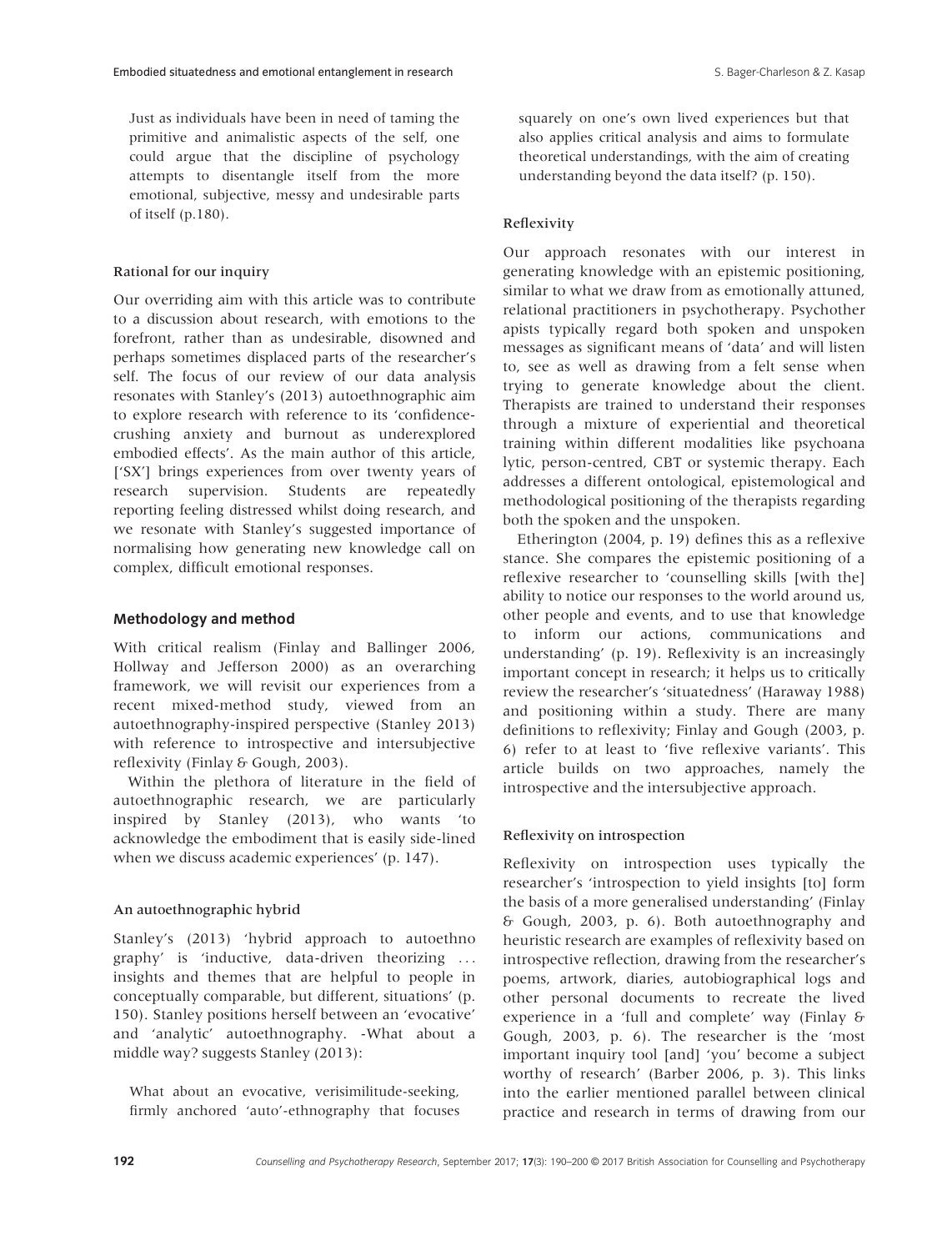Just as individuals have been in need of taming the primitive and animalistic aspects of the self, one could argue that the discipline of psychology attempts to disentangle itself from the more emotional, subjective, messy and undesirable parts of itself (p.180).

## Rational for our inquiry

Our overriding aim with this article was to contribute to a discussion about research, with emotions to the forefront, rather than as undesirable, disowned and perhaps sometimes displaced parts of the researcher's self. The focus of our review of our data analysis resonates with Stanley's (2013) autoethnographic aim to explore research with reference to its 'confidencecrushing anxiety and burnout as underexplored embodied effects'. As the main author of this article, ['SX'] brings experiences from over twenty years of research supervision. Students are repeatedly reporting feeling distressed whilst doing research, and we resonate with Stanley's suggested importance of normalising how generating new knowledge call on complex, difficult emotional responses.

#### Methodology and method

With critical realism (Finlay and Ballinger 2006, Hollway and Jefferson 2000) as an overarching framework, we will revisit our experiences from a recent mixed-method study, viewed from an autoethnography-inspired perspective (Stanley 2013) with reference to introspective and intersubjective reflexivity (Finlay & Gough, 2003).

Within the plethora of literature in the field of autoethnographic research, we are particularly inspired by Stanley (2013), who wants 'to acknowledge the embodiment that is easily side-lined when we discuss academic experiences' (p. 147).

## An autoethnographic hybrid

Stanley's (2013) 'hybrid approach to autoethno graphy' is 'inductive, data-driven theorizing ... insights and themes that are helpful to people in conceptually comparable, but different, situations' (p. 150). Stanley positions herself between an 'evocative' and 'analytic' autoethnography. -What about a middle way? suggests Stanley (2013):

What about an evocative, verisimilitude-seeking, firmly anchored 'auto'-ethnography that focuses squarely on one's own lived experiences but that also applies critical analysis and aims to formulate theoretical understandings, with the aim of creating understanding beyond the data itself? (p. 150).

## Reflexivity

Our approach resonates with our interest in generating knowledge with an epistemic positioning, similar to what we draw from as emotionally attuned, relational practitioners in psychotherapy. Psychother apists typically regard both spoken and unspoken messages as significant means of 'data' and will listen to, see as well as drawing from a felt sense when trying to generate knowledge about the client. Therapists are trained to understand their responses through a mixture of experiential and theoretical training within different modalities like psychoana lytic, person-centred, CBT or systemic therapy. Each addresses a different ontological, epistemological and methodological positioning of the therapists regarding both the spoken and the unspoken.

Etherington (2004, p. 19) defines this as a reflexive stance. She compares the epistemic positioning of a reflexive researcher to 'counselling skills [with the] ability to notice our responses to the world around us, other people and events, and to use that knowledge to inform our actions, communications and understanding' (p. 19). Reflexivity is an increasingly important concept in research; it helps us to critically review the researcher's 'situatedness' (Haraway 1988) and positioning within a study. There are many definitions to reflexivity; Finlay and Gough (2003, p. 6) refer to at least to 'five reflexive variants'. This article builds on two approaches, namely the introspective and the intersubjective approach.

## Reflexivity on introspection

Reflexivity on introspection uses typically the researcher's 'introspection to yield insights [to] form the basis of a more generalised understanding' (Finlay & Gough, 2003, p. 6). Both autoethnography and heuristic research are examples of reflexivity based on introspective reflection, drawing from the researcher's poems, artwork, diaries, autobiographical logs and other personal documents to recreate the lived experience in a 'full and complete' way (Finlay & Gough, 2003, p. 6). The researcher is the 'most important inquiry tool [and] 'you' become a subject worthy of research' (Barber 2006, p. 3). This links into the earlier mentioned parallel between clinical practice and research in terms of drawing from our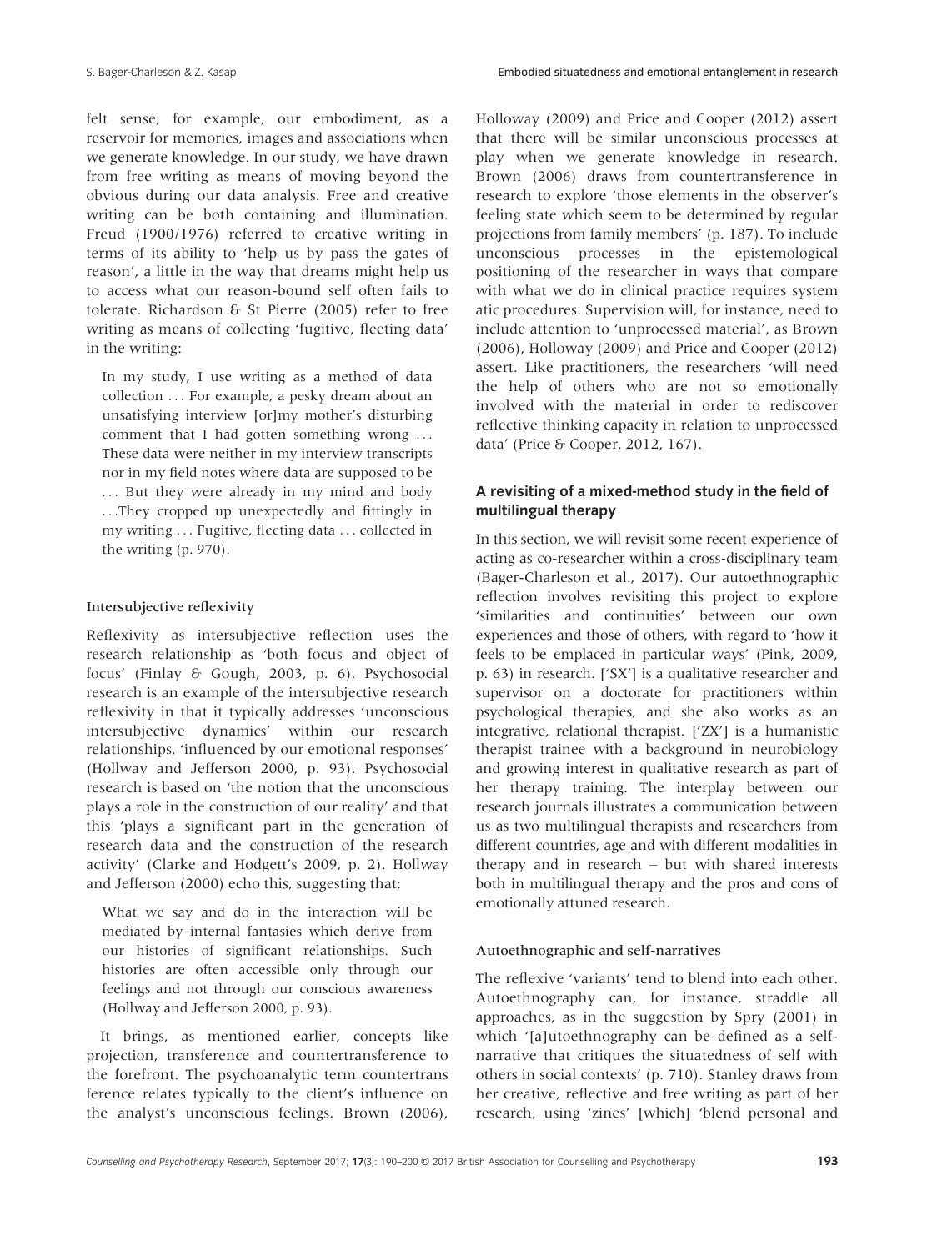felt sense, for example, our embodiment, as a reservoir for memories, images and associations when we generate knowledge. In our study, we have drawn from free writing as means of moving beyond the obvious during our data analysis. Free and creative writing can be both containing and illumination. Freud (1900/1976) referred to creative writing in terms of its ability to 'help us by pass the gates of reason', a little in the way that dreams might help us to access what our reason-bound self often fails to tolerate. Richardson & St Pierre (2005) refer to free writing as means of collecting 'fugitive, fleeting data' in the writing:

In my study, I use writing as a method of data collection ... For example, a pesky dream about an unsatisfying interview [or]my mother's disturbing comment that I had gotten something wrong ... These data were neither in my interview transcripts nor in my field notes where data are supposed to be ... But they were already in my mind and body ...They cropped up unexpectedly and fittingly in my writing ... Fugitive, fleeting data ... collected in the writing (p. 970).

## Intersubjective reflexivity

Reflexivity as intersubjective reflection uses the research relationship as 'both focus and object of focus' (Finlay & Gough, 2003, p. 6). Psychosocial research is an example of the intersubjective research reflexivity in that it typically addresses 'unconscious intersubjective dynamics' within our research relationships, 'influenced by our emotional responses' (Hollway and Jefferson 2000, p. 93). Psychosocial research is based on 'the notion that the unconscious plays a role in the construction of our reality' and that this 'plays a significant part in the generation of research data and the construction of the research activity' (Clarke and Hodgett's 2009, p. 2). Hollway and Jefferson (2000) echo this, suggesting that:

What we say and do in the interaction will be mediated by internal fantasies which derive from our histories of significant relationships. Such histories are often accessible only through our feelings and not through our conscious awareness (Hollway and Jefferson 2000, p. 93).

It brings, as mentioned earlier, concepts like projection, transference and countertransference to the forefront. The psychoanalytic term countertrans ference relates typically to the client's influence on the analyst's unconscious feelings. Brown (2006),

Holloway (2009) and Price and Cooper (2012) assert that there will be similar unconscious processes at play when we generate knowledge in research. Brown (2006) draws from countertransference in research to explore 'those elements in the observer's feeling state which seem to be determined by regular projections from family members' (p. 187). To include unconscious processes in the epistemological positioning of the researcher in ways that compare with what we do in clinical practice requires system atic procedures. Supervision will, for instance, need to include attention to 'unprocessed material', as Brown (2006), Holloway (2009) and Price and Cooper (2012) assert. Like practitioners, the researchers 'will need the help of others who are not so emotionally involved with the material in order to rediscover reflective thinking capacity in relation to unprocessed data' (Price & Cooper, 2012, 167).

# A revisiting of a mixed-method study in the field of multilingual therapy

In this section, we will revisit some recent experience of acting as co-researcher within a cross-disciplinary team (Bager-Charleson et al., 2017). Our autoethnographic reflection involves revisiting this project to explore 'similarities and continuities' between our own experiences and those of others, with regard to 'how it feels to be emplaced in particular ways' (Pink, 2009, p. 63) in research. ['SX'] is a qualitative researcher and supervisor on a doctorate for practitioners within psychological therapies, and she also works as an integrative, relational therapist. ['ZX'] is a humanistic therapist trainee with a background in neurobiology and growing interest in qualitative research as part of her therapy training. The interplay between our research journals illustrates a communication between us as two multilingual therapists and researchers from different countries, age and with different modalities in therapy and in research – but with shared interests both in multilingual therapy and the pros and cons of emotionally attuned research.

## Autoethnographic and self-narratives

The reflexive 'variants' tend to blend into each other. Autoethnography can, for instance, straddle all approaches, as in the suggestion by Spry (2001) in which '[a]utoethnography can be defined as a selfnarrative that critiques the situatedness of self with others in social contexts' (p. 710). Stanley draws from her creative, reflective and free writing as part of her research, using 'zines' [which] 'blend personal and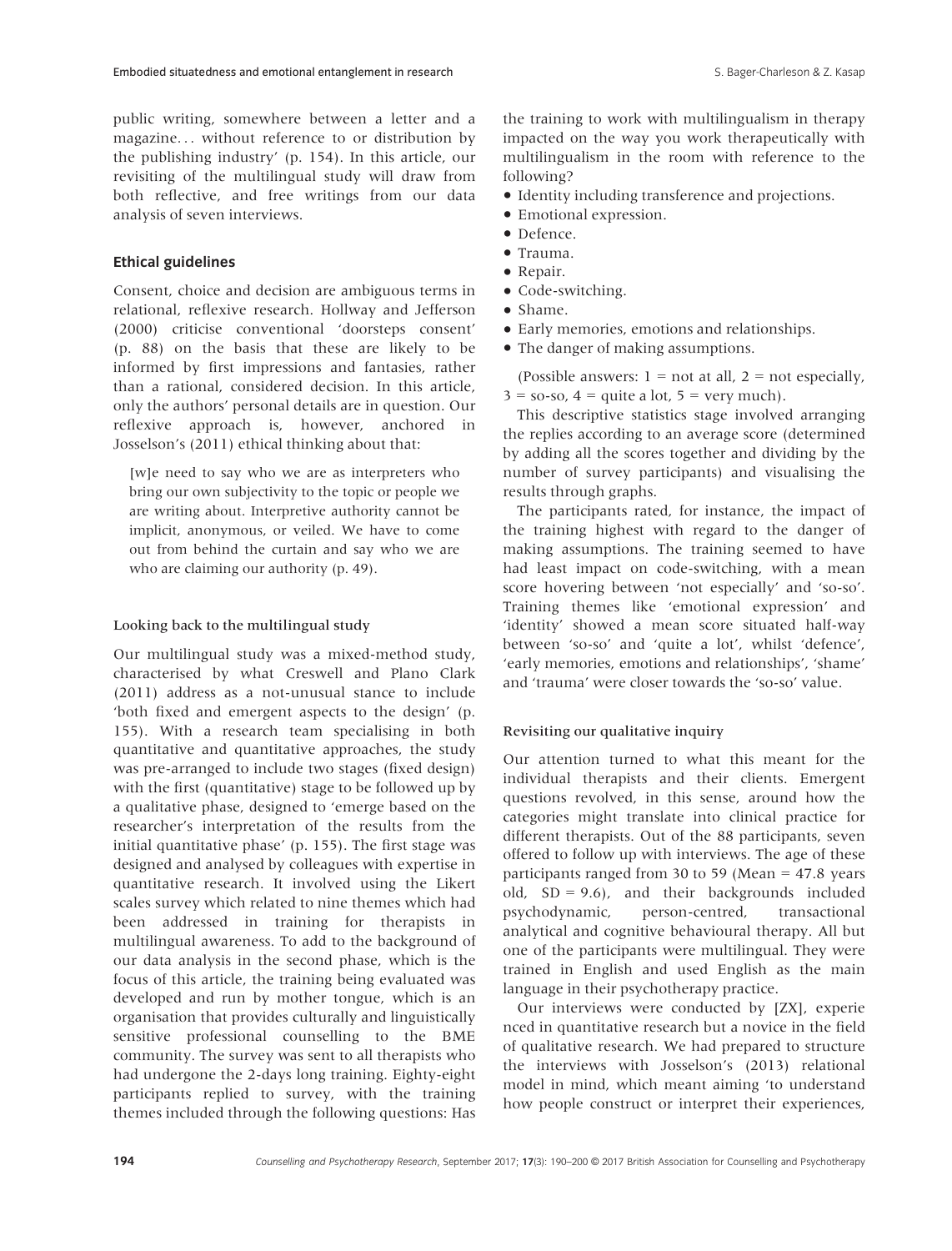public writing, somewhere between a letter and a magazine... without reference to or distribution by the publishing industry' (p. 154). In this article, our revisiting of the multilingual study will draw from both reflective, and free writings from our data analysis of seven interviews.

### Ethical guidelines

Consent, choice and decision are ambiguous terms in relational, reflexive research. Hollway and Jefferson (2000) criticise conventional 'doorsteps consent' (p. 88) on the basis that these are likely to be informed by first impressions and fantasies, rather than a rational, considered decision. In this article, only the authors' personal details are in question. Our reflexive approach is, however, anchored in Josselson's (2011) ethical thinking about that:

[w]e need to say who we are as interpreters who bring our own subjectivity to the topic or people we are writing about. Interpretive authority cannot be implicit, anonymous, or veiled. We have to come out from behind the curtain and say who we are who are claiming our authority (p. 49).

## Looking back to the multilingual study

Our multilingual study was a mixed-method study, characterised by what Creswell and Plano Clark (2011) address as a not-unusual stance to include 'both fixed and emergent aspects to the design' (p. 155). With a research team specialising in both quantitative and quantitative approaches, the study was pre-arranged to include two stages (fixed design) with the first (quantitative) stage to be followed up by a qualitative phase, designed to 'emerge based on the researcher's interpretation of the results from the initial quantitative phase' (p. 155). The first stage was designed and analysed by colleagues with expertise in quantitative research. It involved using the Likert scales survey which related to nine themes which had been addressed in training for therapists in multilingual awareness. To add to the background of our data analysis in the second phase, which is the focus of this article, the training being evaluated was developed and run by mother tongue, which is an organisation that provides culturally and linguistically sensitive professional counselling to the BME community. The survey was sent to all therapists who had undergone the 2-days long training. Eighty-eight participants replied to survey, with the training themes included through the following questions: Has

the training to work with multilingualism in therapy impacted on the way you work therapeutically with multilingualism in the room with reference to the following?

- Identity including transference and projections.
- Emotional expression.
- Defence.
- Trauma.
- Repair.
- Code-switching.
- Shame.
- Early memories, emotions and relationships.
- The danger of making assumptions.

(Possible answers:  $1 = not at all$ ,  $2 = not especially$ ,  $3 =$  so-so,  $4 =$  quite a lot,  $5 =$  very much).

This descriptive statistics stage involved arranging the replies according to an average score (determined by adding all the scores together and dividing by the number of survey participants) and visualising the results through graphs.

The participants rated, for instance, the impact of the training highest with regard to the danger of making assumptions. The training seemed to have had least impact on code-switching, with a mean score hovering between 'not especially' and 'so-so'. Training themes like 'emotional expression' and 'identity' showed a mean score situated half-way between 'so-so' and 'quite a lot', whilst 'defence', 'early memories, emotions and relationships', 'shame' and 'trauma' were closer towards the 'so-so' value.

#### Revisiting our qualitative inquiry

Our attention turned to what this meant for the individual therapists and their clients. Emergent questions revolved, in this sense, around how the categories might translate into clinical practice for different therapists. Out of the 88 participants, seven offered to follow up with interviews. The age of these participants ranged from 30 to 59 (Mean = 47.8 years old,  $SD = 9.6$ ), and their backgrounds included psychodynamic, person-centred, transactional analytical and cognitive behavioural therapy. All but one of the participants were multilingual. They were trained in English and used English as the main language in their psychotherapy practice.

Our interviews were conducted by [ZX], experie nced in quantitative research but a novice in the field of qualitative research. We had prepared to structure the interviews with Josselson's (2013) relational model in mind, which meant aiming 'to understand how people construct or interpret their experiences,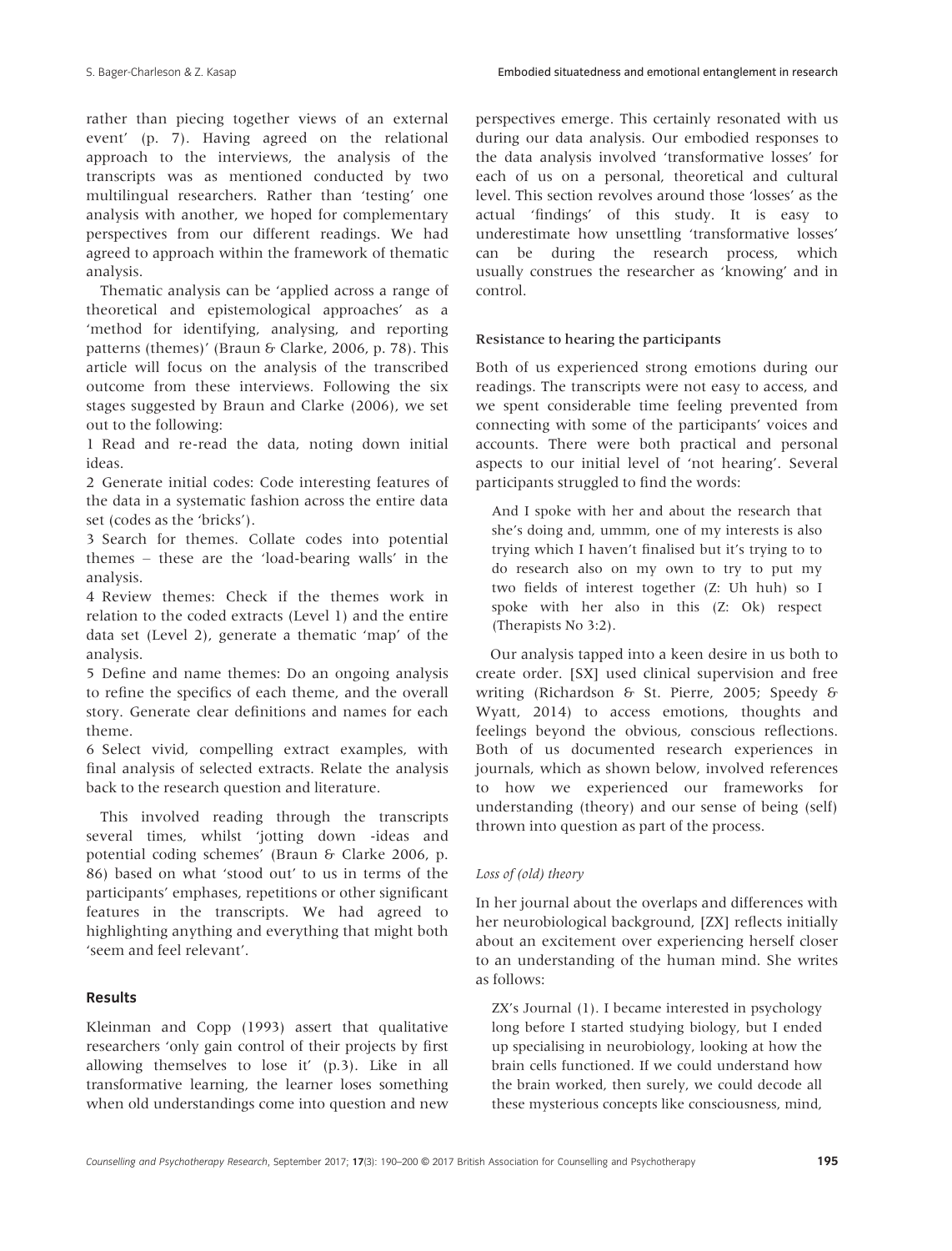rather than piecing together views of an external event' (p. 7). Having agreed on the relational approach to the interviews, the analysis of the transcripts was as mentioned conducted by two multilingual researchers. Rather than 'testing' one analysis with another, we hoped for complementary perspectives from our different readings. We had agreed to approach within the framework of thematic analysis.

Thematic analysis can be 'applied across a range of theoretical and epistemological approaches' as a 'method for identifying, analysing, and reporting patterns (themes)' (Braun & Clarke, 2006, p. 78). This article will focus on the analysis of the transcribed outcome from these interviews. Following the six stages suggested by Braun and Clarke (2006), we set out to the following:

1 Read and re-read the data, noting down initial ideas.

2 Generate initial codes: Code interesting features of the data in a systematic fashion across the entire data set (codes as the 'bricks').

3 Search for themes. Collate codes into potential themes – these are the 'load-bearing walls' in the analysis.

4 Review themes: Check if the themes work in relation to the coded extracts (Level 1) and the entire data set (Level 2), generate a thematic 'map' of the analysis.

5 Define and name themes: Do an ongoing analysis to refine the specifics of each theme, and the overall story. Generate clear definitions and names for each theme.

6 Select vivid, compelling extract examples, with final analysis of selected extracts. Relate the analysis back to the research question and literature.

This involved reading through the transcripts several times, whilst 'jotting down -ideas and potential coding schemes' (Braun & Clarke 2006, p. 86) based on what 'stood out' to us in terms of the participants' emphases, repetitions or other significant features in the transcripts. We had agreed to highlighting anything and everything that might both 'seem and feel relevant'.

## Results

Kleinman and Copp (1993) assert that qualitative researchers 'only gain control of their projects by first allowing themselves to lose it' (p.3). Like in all transformative learning, the learner loses something when old understandings come into question and new

perspectives emerge. This certainly resonated with us during our data analysis. Our embodied responses to the data analysis involved 'transformative losses' for each of us on a personal, theoretical and cultural level. This section revolves around those 'losses' as the actual 'findings' of this study. It is easy to underestimate how unsettling 'transformative losses' can be during the research process, which usually construes the researcher as 'knowing' and in control.

# Resistance to hearing the participants

Both of us experienced strong emotions during our readings. The transcripts were not easy to access, and we spent considerable time feeling prevented from connecting with some of the participants' voices and accounts. There were both practical and personal aspects to our initial level of 'not hearing'. Several participants struggled to find the words:

And I spoke with her and about the research that she's doing and, ummm, one of my interests is also trying which I haven't finalised but it's trying to to do research also on my own to try to put my two fields of interest together (Z: Uh huh) so I spoke with her also in this (Z: Ok) respect (Therapists No 3:2).

Our analysis tapped into a keen desire in us both to create order. [SX] used clinical supervision and free writing (Richardson & St. Pierre, 2005; Speedy & Wyatt, 2014) to access emotions, thoughts and feelings beyond the obvious, conscious reflections. Both of us documented research experiences in journals, which as shown below, involved references to how we experienced our frameworks for understanding (theory) and our sense of being (self) thrown into question as part of the process.

#### Loss of (old) theory

In her journal about the overlaps and differences with her neurobiological background, [ZX] reflects initially about an excitement over experiencing herself closer to an understanding of the human mind. She writes as follows:

ZX's Journal (1). I became interested in psychology long before I started studying biology, but I ended up specialising in neurobiology, looking at how the brain cells functioned. If we could understand how the brain worked, then surely, we could decode all these mysterious concepts like consciousness, mind,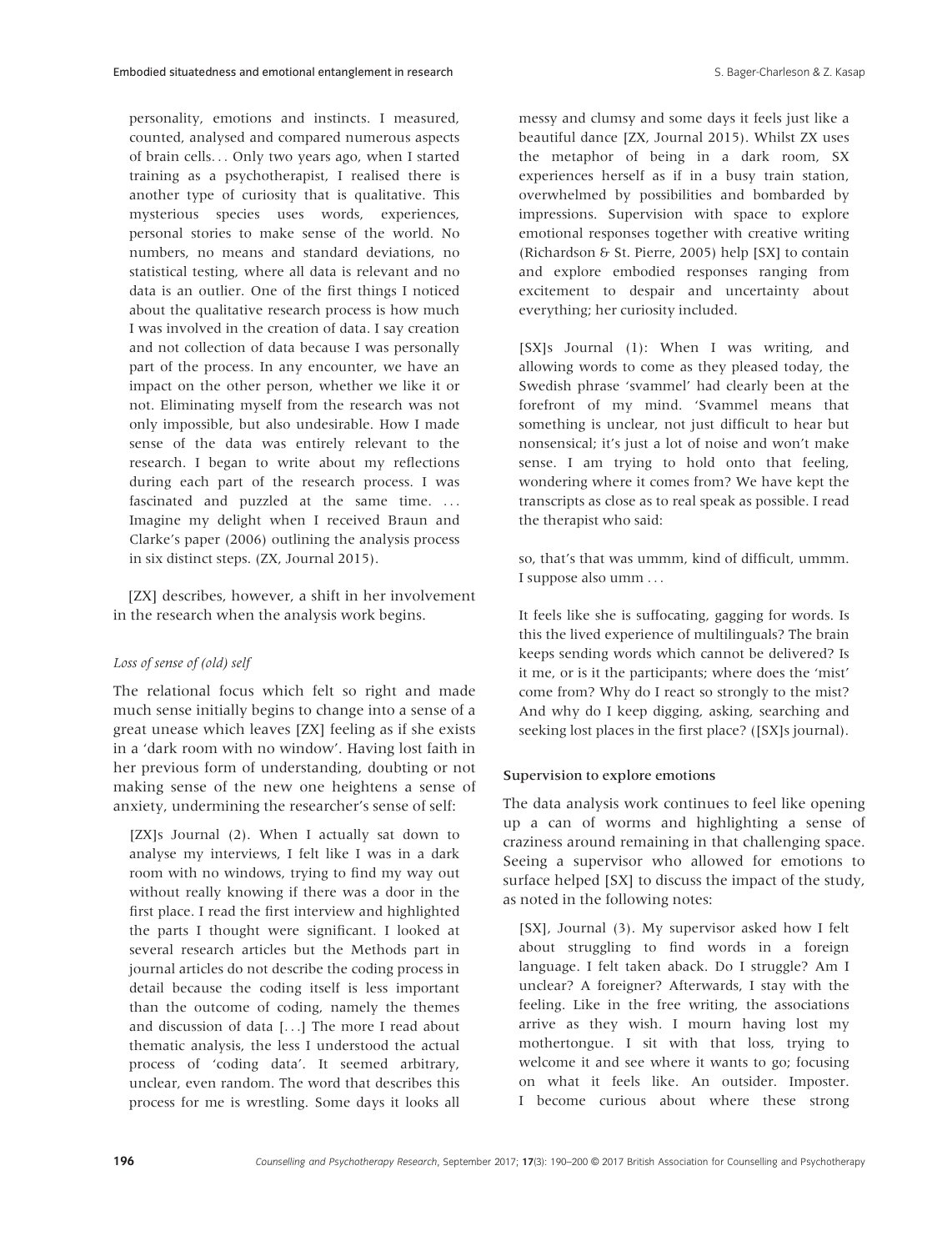personality, emotions and instincts. I measured, counted, analysed and compared numerous aspects of brain cells... Only two years ago, when I started training as a psychotherapist, I realised there is another type of curiosity that is qualitative. This mysterious species uses words, experiences, personal stories to make sense of the world. No numbers, no means and standard deviations, no statistical testing, where all data is relevant and no data is an outlier. One of the first things I noticed about the qualitative research process is how much I was involved in the creation of data. I say creation and not collection of data because I was personally part of the process. In any encounter, we have an impact on the other person, whether we like it or not. Eliminating myself from the research was not only impossible, but also undesirable. How I made sense of the data was entirely relevant to the research. I began to write about my reflections during each part of the research process. I was fascinated and puzzled at the same time. ... Imagine my delight when I received Braun and Clarke's paper (2006) outlining the analysis process in six distinct steps. (ZX, Journal 2015).

[ZX] describes, however, a shift in her involvement in the research when the analysis work begins.

#### Loss of sense of (old) self

The relational focus which felt so right and made much sense initially begins to change into a sense of a great unease which leaves [ZX] feeling as if she exists in a 'dark room with no window'. Having lost faith in her previous form of understanding, doubting or not making sense of the new one heightens a sense of anxiety, undermining the researcher's sense of self:

[ZX]s Journal (2). When I actually sat down to analyse my interviews, I felt like I was in a dark room with no windows, trying to find my way out without really knowing if there was a door in the first place. I read the first interview and highlighted the parts I thought were significant. I looked at several research articles but the Methods part in journal articles do not describe the coding process in detail because the coding itself is less important than the outcome of coding, namely the themes and discussion of data [...] The more I read about thematic analysis, the less I understood the actual process of 'coding data'. It seemed arbitrary, unclear, even random. The word that describes this process for me is wrestling. Some days it looks all

messy and clumsy and some days it feels just like a beautiful dance [ZX, Journal 2015). Whilst ZX uses the metaphor of being in a dark room, SX experiences herself as if in a busy train station, overwhelmed by possibilities and bombarded by impressions. Supervision with space to explore emotional responses together with creative writing (Richardson & St. Pierre, 2005) help [SX] to contain and explore embodied responses ranging from excitement to despair and uncertainty about everything; her curiosity included.

[SX]s Journal (1): When I was writing, and allowing words to come as they pleased today, the Swedish phrase 'svammel' had clearly been at the forefront of my mind. 'Svammel means that something is unclear, not just difficult to hear but nonsensical; it's just a lot of noise and won't make sense. I am trying to hold onto that feeling, wondering where it comes from? We have kept the transcripts as close as to real speak as possible. I read the therapist who said:

so, that's that was ummm, kind of difficult, ummm. I suppose also umm ...

It feels like she is suffocating, gagging for words. Is this the lived experience of multilinguals? The brain keeps sending words which cannot be delivered? Is it me, or is it the participants; where does the 'mist' come from? Why do I react so strongly to the mist? And why do I keep digging, asking, searching and seeking lost places in the first place? ([SX]s journal).

#### Supervision to explore emotions

The data analysis work continues to feel like opening up a can of worms and highlighting a sense of craziness around remaining in that challenging space. Seeing a supervisor who allowed for emotions to surface helped [SX] to discuss the impact of the study, as noted in the following notes:

[SX], Journal (3). My supervisor asked how I felt about struggling to find words in a foreign language. I felt taken aback. Do I struggle? Am I unclear? A foreigner? Afterwards, I stay with the feeling. Like in the free writing, the associations arrive as they wish. I mourn having lost my mothertongue. I sit with that loss, trying to welcome it and see where it wants to go; focusing on what it feels like. An outsider. Imposter. I become curious about where these strong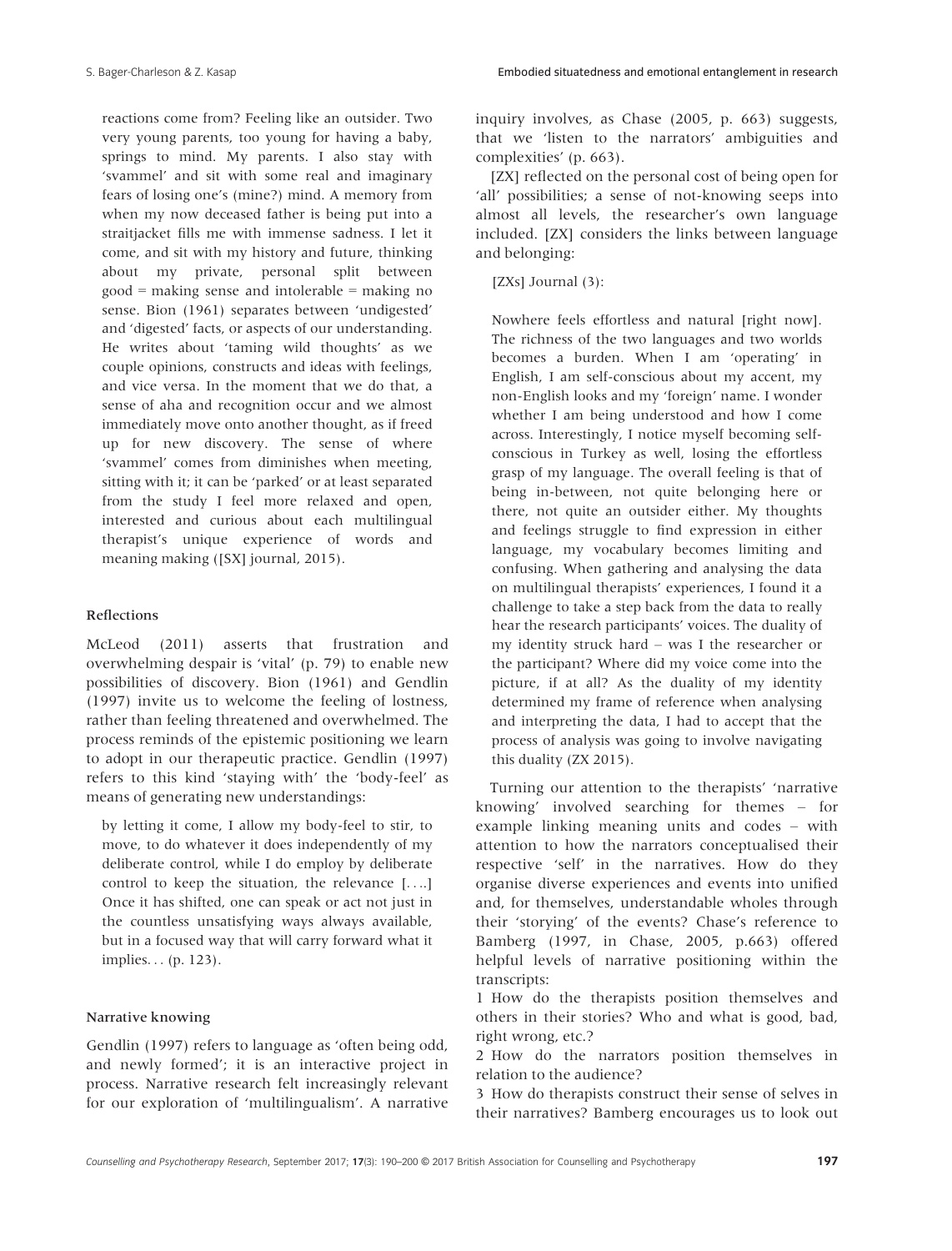S. Bager-Charleson & Z. Kasap Embodied situatedness and emotional entanglement in research

reactions come from? Feeling like an outsider. Two very young parents, too young for having a baby, springs to mind. My parents. I also stay with 'svammel' and sit with some real and imaginary fears of losing one's (mine?) mind. A memory from when my now deceased father is being put into a straitjacket fills me with immense sadness. I let it come, and sit with my history and future, thinking about my private, personal split between good = making sense and intolerable = making no sense. Bion (1961) separates between 'undigested' and 'digested' facts, or aspects of our understanding. He writes about 'taming wild thoughts' as we couple opinions, constructs and ideas with feelings, and vice versa. In the moment that we do that, a sense of aha and recognition occur and we almost immediately move onto another thought, as if freed up for new discovery. The sense of where 'svammel' comes from diminishes when meeting, sitting with it; it can be 'parked' or at least separated from the study I feel more relaxed and open, interested and curious about each multilingual therapist's unique experience of words and meaning making ([SX] journal, 2015).

## Reflections

McLeod (2011) asserts that frustration and overwhelming despair is 'vital' (p. 79) to enable new possibilities of discovery. Bion (1961) and Gendlin (1997) invite us to welcome the feeling of lostness, rather than feeling threatened and overwhelmed. The process reminds of the epistemic positioning we learn to adopt in our therapeutic practice. Gendlin (1997) refers to this kind 'staying with' the 'body-feel' as means of generating new understandings:

by letting it come, I allow my body-feel to stir, to move, to do whatever it does independently of my deliberate control, while I do employ by deliberate control to keep the situation, the relevance [....] Once it has shifted, one can speak or act not just in the countless unsatisfying ways always available, but in a focused way that will carry forward what it implies... (p. 123).

#### Narrative knowing

Gendlin (1997) refers to language as 'often being odd, and newly formed'; it is an interactive project in process. Narrative research felt increasingly relevant for our exploration of 'multilingualism'. A narrative inquiry involves, as Chase (2005, p. 663) suggests, that we 'listen to the narrators' ambiguities and complexities' (p. 663).

[ZX] reflected on the personal cost of being open for 'all' possibilities; a sense of not-knowing seeps into almost all levels, the researcher's own language included. [ZX] considers the links between language and belonging:

[ZXs] Journal (3):

Nowhere feels effortless and natural [right now]. The richness of the two languages and two worlds becomes a burden. When I am 'operating' in English, I am self-conscious about my accent, my non-English looks and my 'foreign' name. I wonder whether I am being understood and how I come across. Interestingly, I notice myself becoming selfconscious in Turkey as well, losing the effortless grasp of my language. The overall feeling is that of being in-between, not quite belonging here or there, not quite an outsider either. My thoughts and feelings struggle to find expression in either language, my vocabulary becomes limiting and confusing. When gathering and analysing the data on multilingual therapists' experiences, I found it a challenge to take a step back from the data to really hear the research participants' voices. The duality of my identity struck hard – was I the researcher or the participant? Where did my voice come into the picture, if at all? As the duality of my identity determined my frame of reference when analysing and interpreting the data, I had to accept that the process of analysis was going to involve navigating this duality (ZX 2015).

Turning our attention to the therapists' 'narrative knowing' involved searching for themes – for example linking meaning units and codes – with attention to how the narrators conceptualised their respective 'self' in the narratives. How do they organise diverse experiences and events into unified and, for themselves, understandable wholes through their 'storying' of the events? Chase's reference to Bamberg (1997, in Chase, 2005, p.663) offered helpful levels of narrative positioning within the transcripts:

1 How do the therapists position themselves and others in their stories? Who and what is good, bad, right wrong, etc.?

2 How do the narrators position themselves in relation to the audience?

3 How do therapists construct their sense of selves in their narratives? Bamberg encourages us to look out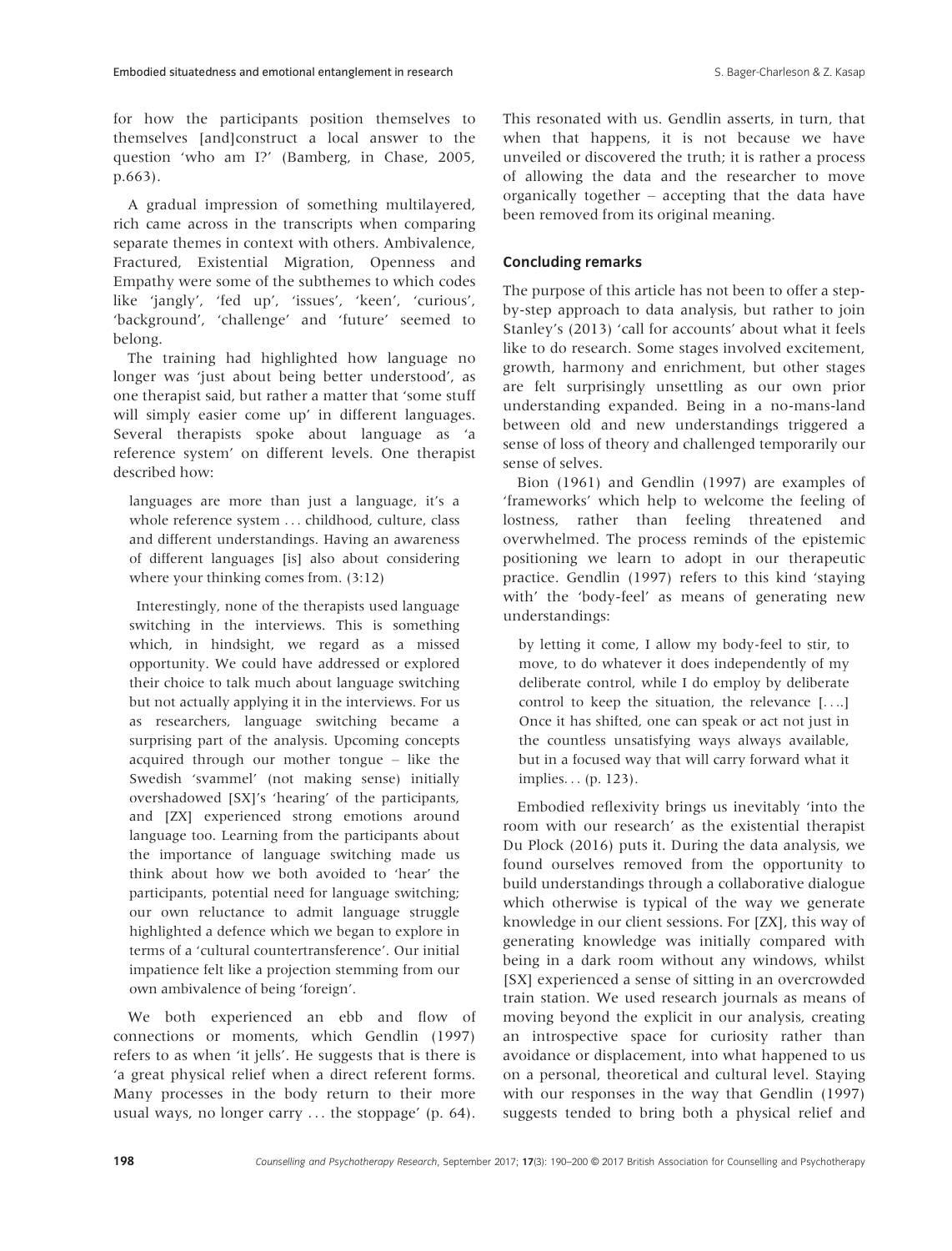for how the participants position themselves to themselves [and]construct a local answer to the question 'who am I?' (Bamberg, in Chase, 2005, p.663).

A gradual impression of something multilayered, rich came across in the transcripts when comparing separate themes in context with others. Ambivalence, Fractured, Existential Migration, Openness and Empathy were some of the subthemes to which codes like 'jangly', 'fed up', 'issues', 'keen', 'curious', 'background', 'challenge' and 'future' seemed to belong.

The training had highlighted how language no longer was 'just about being better understood', as one therapist said, but rather a matter that 'some stuff will simply easier come up' in different languages. Several therapists spoke about language as 'a reference system' on different levels. One therapist described how:

languages are more than just a language, it's a whole reference system ... childhood, culture, class and different understandings. Having an awareness of different languages [is] also about considering where your thinking comes from. (3:12)

Interestingly, none of the therapists used language switching in the interviews. This is something which, in hindsight, we regard as a missed opportunity. We could have addressed or explored their choice to talk much about language switching but not actually applying it in the interviews. For us as researchers, language switching became a surprising part of the analysis. Upcoming concepts acquired through our mother tongue – like the Swedish 'svammel' (not making sense) initially overshadowed [SX]'s 'hearing' of the participants, and [ZX] experienced strong emotions around language too. Learning from the participants about the importance of language switching made us think about how we both avoided to 'hear' the participants, potential need for language switching; our own reluctance to admit language struggle highlighted a defence which we began to explore in terms of a 'cultural countertransference'. Our initial impatience felt like a projection stemming from our own ambivalence of being 'foreign'.

We both experienced an ebb and flow of connections or moments, which Gendlin (1997) refers to as when 'it jells'. He suggests that is there is 'a great physical relief when a direct referent forms. Many processes in the body return to their more usual ways, no longer carry ... the stoppage' (p. 64). This resonated with us. Gendlin asserts, in turn, that when that happens, it is not because we have unveiled or discovered the truth; it is rather a process of allowing the data and the researcher to move organically together – accepting that the data have been removed from its original meaning.

# Concluding remarks

The purpose of this article has not been to offer a stepby-step approach to data analysis, but rather to join Stanley's (2013) 'call for accounts' about what it feels like to do research. Some stages involved excitement, growth, harmony and enrichment, but other stages are felt surprisingly unsettling as our own prior understanding expanded. Being in a no-mans-land between old and new understandings triggered a sense of loss of theory and challenged temporarily our sense of selves.

Bion (1961) and Gendlin (1997) are examples of 'frameworks' which help to welcome the feeling of lostness, rather than feeling threatened and overwhelmed. The process reminds of the epistemic positioning we learn to adopt in our therapeutic practice. Gendlin (1997) refers to this kind 'staying with' the 'body-feel' as means of generating new understandings:

by letting it come, I allow my body-feel to stir, to move, to do whatever it does independently of my deliberate control, while I do employ by deliberate control to keep the situation, the relevance [....] Once it has shifted, one can speak or act not just in the countless unsatisfying ways always available, but in a focused way that will carry forward what it implies... (p. 123).

Embodied reflexivity brings us inevitably 'into the room with our research' as the existential therapist Du Plock (2016) puts it. During the data analysis, we found ourselves removed from the opportunity to build understandings through a collaborative dialogue which otherwise is typical of the way we generate knowledge in our client sessions. For [ZX], this way of generating knowledge was initially compared with being in a dark room without any windows, whilst [SX] experienced a sense of sitting in an overcrowded train station. We used research journals as means of moving beyond the explicit in our analysis, creating an introspective space for curiosity rather than avoidance or displacement, into what happened to us on a personal, theoretical and cultural level. Staying with our responses in the way that Gendlin (1997) suggests tended to bring both a physical relief and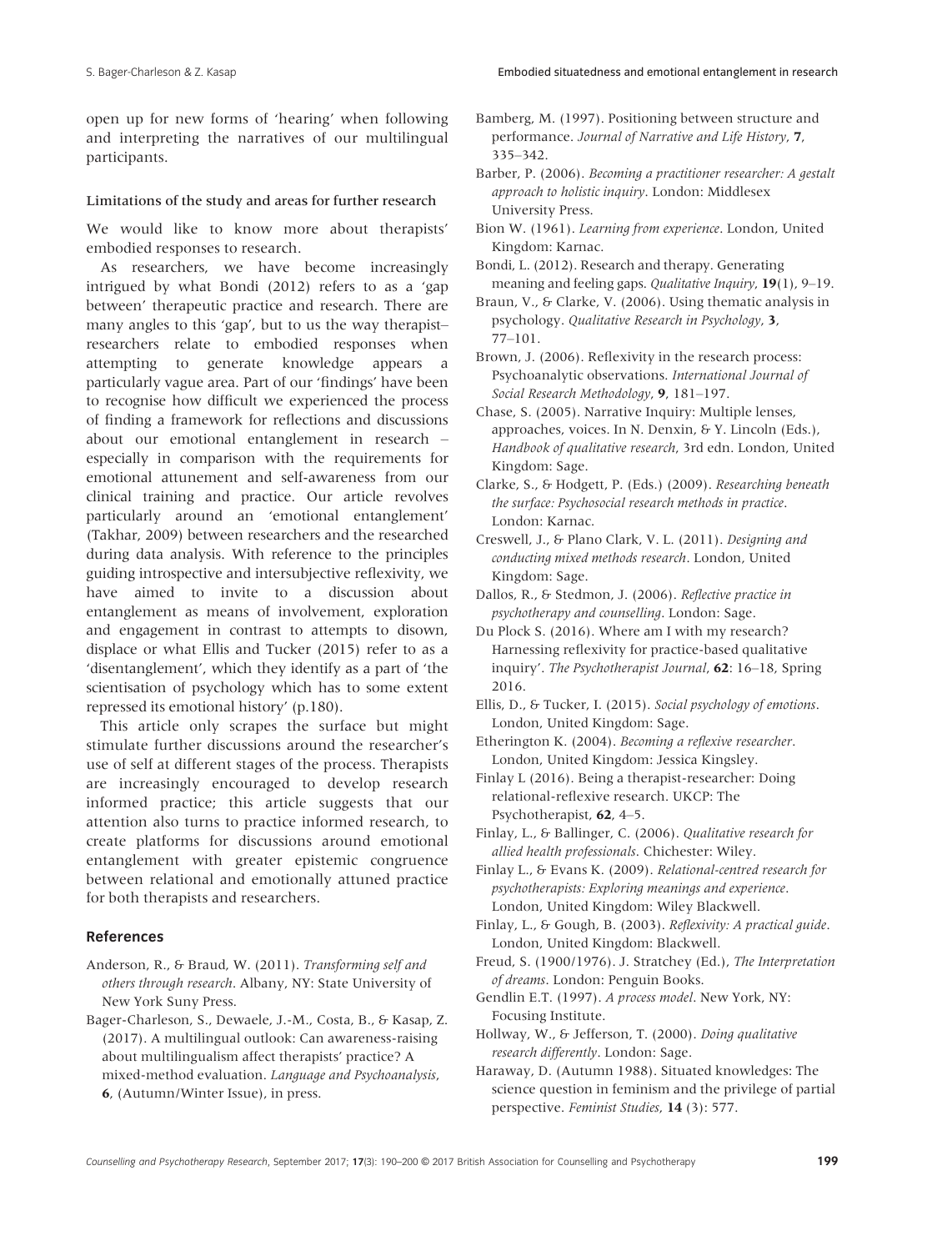open up for new forms of 'hearing' when following and interpreting the narratives of our multilingual participants.

#### Limitations of the study and areas for further research

We would like to know more about therapists' embodied responses to research.

As researchers, we have become increasingly intrigued by what Bondi (2012) refers to as a 'gap between' therapeutic practice and research. There are many angles to this 'gap', but to us the way therapist– researchers relate to embodied responses when attempting to generate knowledge appears a particularly vague area. Part of our 'findings' have been to recognise how difficult we experienced the process of finding a framework for reflections and discussions about our emotional entanglement in research – especially in comparison with the requirements for emotional attunement and self-awareness from our clinical training and practice. Our article revolves particularly around an 'emotional entanglement' (Takhar, 2009) between researchers and the researched during data analysis. With reference to the principles guiding introspective and intersubjective reflexivity, we have aimed to invite to a discussion about entanglement as means of involvement, exploration and engagement in contrast to attempts to disown, displace or what Ellis and Tucker (2015) refer to as a 'disentanglement', which they identify as a part of 'the scientisation of psychology which has to some extent repressed its emotional history' (p.180).

This article only scrapes the surface but might stimulate further discussions around the researcher's use of self at different stages of the process. Therapists are increasingly encouraged to develop research informed practice; this article suggests that our attention also turns to practice informed research, to create platforms for discussions around emotional entanglement with greater epistemic congruence between relational and emotionally attuned practice for both therapists and researchers.

#### References

- Anderson, R., & Braud, W. (2011). Transforming self and others through research. Albany, NY: State University of New York Suny Press.
- Bager-Charleson, S., Dewaele, J.-M., Costa, B., & Kasap, Z. (2017). A multilingual outlook: Can awareness-raising about multilingualism affect therapists' practice? A mixed-method evaluation. Language and Psychoanalysis, 6, (Autumn/Winter Issue), in press.

Bamberg, M. (1997). Positioning between structure and performance. Journal of Narrative and Life History, 7, 335–342.

Barber, P. (2006). Becoming a practitioner researcher: A gestalt approach to holistic inquiry. London: Middlesex University Press.

- Bion W. (1961). Learning from experience. London, United Kingdom: Karnac.
- Bondi, L. (2012). Research and therapy. Generating meaning and feeling gaps. Qualitative Inquiry, 19(1), 9–19.
- Braun, V., & Clarke, V. (2006). Using thematic analysis in psychology. Qualitative Research in Psychology, 3, 77–101.
- Brown, J. (2006). Reflexivity in the research process: Psychoanalytic observations. International Journal of Social Research Methodology, 9, 181–197.
- Chase, S. (2005). Narrative Inquiry: Multiple lenses, approaches, voices. In N. Denxin, & Y. Lincoln (Eds.), Handbook of qualitative research, 3rd edn. London, United Kingdom: Sage.
- Clarke, S., & Hodgett, P. (Eds.) (2009). Researching beneath the surface: Psychosocial research methods in practice. London: Karnac.

Creswell, J., & Plano Clark, V. L. (2011). Designing and conducting mixed methods research. London, United Kingdom: Sage.

- Dallos, R., & Stedmon, J. (2006). Reflective practice in psychotherapy and counselling. London: Sage.
- Du Plock S. (2016). Where am I with my research? Harnessing reflexivity for practice-based qualitative inquiry'. The Psychotherapist Journal, 62: 16–18, Spring 2016.
- Ellis, D., & Tucker, I. (2015). Social psychology of emotions. London, United Kingdom: Sage.
- Etherington K. (2004). Becoming a reflexive researcher. London, United Kingdom: Jessica Kingsley.
- Finlay L (2016). Being a therapist-researcher: Doing relational-reflexive research. UKCP: The Psychotherapist, 62, 4–5.
- Finlay, L., & Ballinger, C. (2006). Qualitative research for allied health professionals. Chichester: Wiley.
- Finlay L., & Evans K. (2009). Relational-centred research for psychotherapists: Exploring meanings and experience. London, United Kingdom: Wiley Blackwell.
- Finlay, L., & Gough, B. (2003). Reflexivity: A practical guide. London, United Kingdom: Blackwell.
- Freud, S. (1900/1976). J. Stratchey (Ed.), The Interpretation of dreams. London: Penguin Books.
- Gendlin E.T. (1997). A process model. New York, NY: Focusing Institute.
- Hollway, W., & Jefferson, T. (2000). Doing qualitative research differently. London: Sage.
- Haraway, D. (Autumn 1988). Situated knowledges: The science question in feminism and the privilege of partial perspective. Feminist Studies, 14 (3): 577.